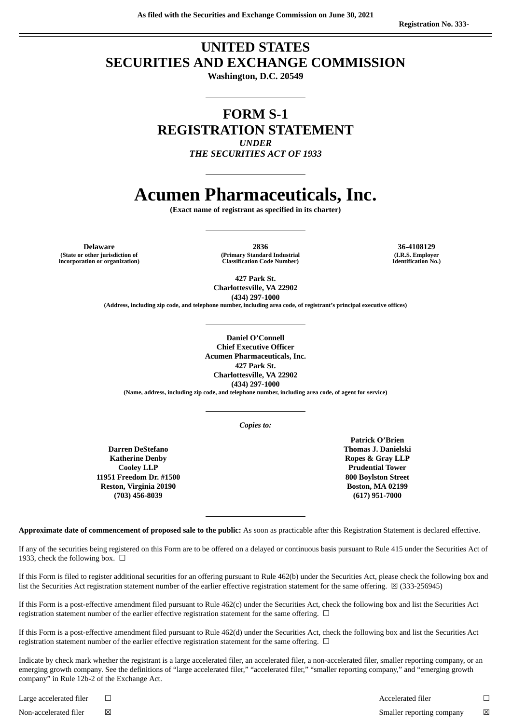## **UNITED STATES SECURITIES AND EXCHANGE COMMISSION**

**Washington, D.C. 20549**

## **FORM S-1 REGISTRATION STATEMENT** *UNDER*

*THE SECURITIES ACT OF 1933*

# **Acumen Pharmaceuticals, Inc.**

**(Exact name of registrant as specified in its charter)**

**(State or other jurisdiction of incorporation or organization)**

**Delaware 2836 36-4108129 (Primary Standard Industrial Classification Code Number)**

**(I.R.S. Employer Identification No.)**

**427 Park St. Charlottesville, VA 22902 (434) 297-1000**

**(Address, including zip code, and telephone number, including area code, of registrant's principal executive offices)**

**Daniel O'Connell Chief Executive Officer Acumen Pharmaceuticals, Inc. 427 Park St. Charlottesville, VA 22902 (434) 297-1000**

**(Name, address, including zip code, and telephone number, including area code, of agent for service)**

*Copies to:*

**Darren DeStefano Katherine Denby Cooley LLP 11951 Freedom Dr. #1500 Reston, Virginia 20190 (703) 456-8039**

**Patrick O'Brien Thomas J. Danielski Ropes & Gray LLP Prudential Tower 800 Boylston Street Boston, MA 02199 (617) 951-7000**

**Approximate date of commencement of proposed sale to the public:** As soon as practicable after this Registration Statement is declared effective.

If any of the securities being registered on this Form are to be offered on a delayed or continuous basis pursuant to Rule 415 under the Securities Act of 1933, check the following box.  $\Box$ 

If this Form is filed to register additional securities for an offering pursuant to Rule 462(b) under the Securities Act, please check the following box and list the Securities Act registration statement number of the earlier effective registration statement for the same offering.  $\boxtimes$  (333-256945)

If this Form is a post-effective amendment filed pursuant to Rule 462(c) under the Securities Act, check the following box and list the Securities Act registration statement number of the earlier effective registration statement for the same offering.  $\Box$ 

If this Form is a post-effective amendment filed pursuant to Rule 462(d) under the Securities Act, check the following box and list the Securities Act registration statement number of the earlier effective registration statement for the same offering. □

Indicate by check mark whether the registrant is a large accelerated filer, an accelerated filer, a non-accelerated filer, smaller reporting company, or an emerging growth company. See the definitions of "large accelerated filer," "accelerated filer," "smaller reporting company," and "emerging growth company" in Rule 12b-2 of the Exchange Act.

Large accelerated filer <del>□</del> □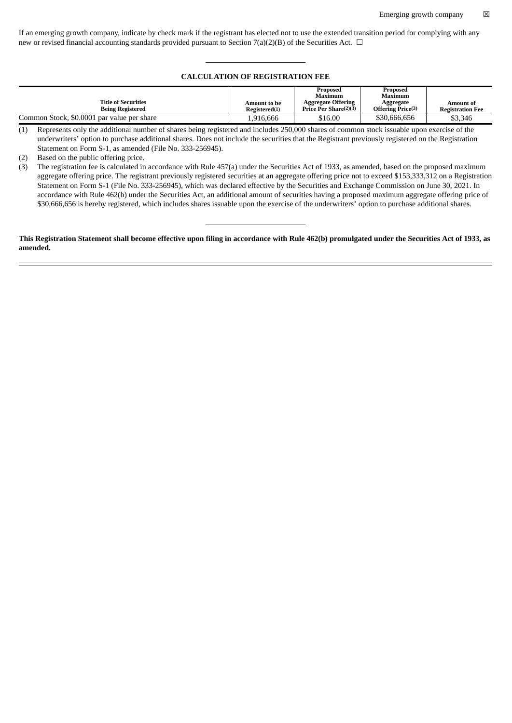If an emerging growth company, indicate by check mark if the registrant has elected not to use the extended transition period for complying with any new or revised financial accounting standards provided pursuant to Section 7(a)(2)(B) of the Securities Act.  $\Box$ 

## **CALCULATION OF REGISTRATION FEE**

|                                                       |                               | Proposed<br>Maximum                                | Proposed<br>Maximum                   |                                      |
|-------------------------------------------------------|-------------------------------|----------------------------------------------------|---------------------------------------|--------------------------------------|
| <b>Title of Securities</b><br><b>Being Registered</b> | Amount to be<br>Registered(1) | <b>Aggregate Offering</b><br>Price Per Share(2)(3) | Aggregate<br><b>Offering Price(3)</b> | Amount of<br><b>Registration Fee</b> |
| Common Stock, \$0,0001 par value per share            | .,916,666                     | \$16.00                                            | \$30,666,656                          | \$3,346                              |

(1) Represents only the additional number of shares being registered and includes 250,000 shares of common stock issuable upon exercise of the underwriters' option to purchase additional shares. Does not include the securities that the Registrant previously registered on the Registration Statement on Form S-1, as amended (File No. 333-256945).

(2) Based on the public offering price.

(3) The registration fee is calculated in accordance with Rule 457(a) under the Securities Act of 1933, as amended, based on the proposed maximum aggregate offering price. The registrant previously registered securities at an aggregate offering price not to exceed \$153,333,312 on a Registration Statement on Form S-1 (File No. 333-256945), which was declared effective by the Securities and Exchange Commission on June 30, 2021. In accordance with Rule 462(b) under the Securities Act, an additional amount of securities having a proposed maximum aggregate offering price of \$30,666,656 is hereby registered, which includes shares issuable upon the exercise of the underwriters' option to purchase additional shares.

This Registration Statement shall become effective upon filing in accordance with Rule 462(b) promulgated under the Securities Act of 1933, as **amended.**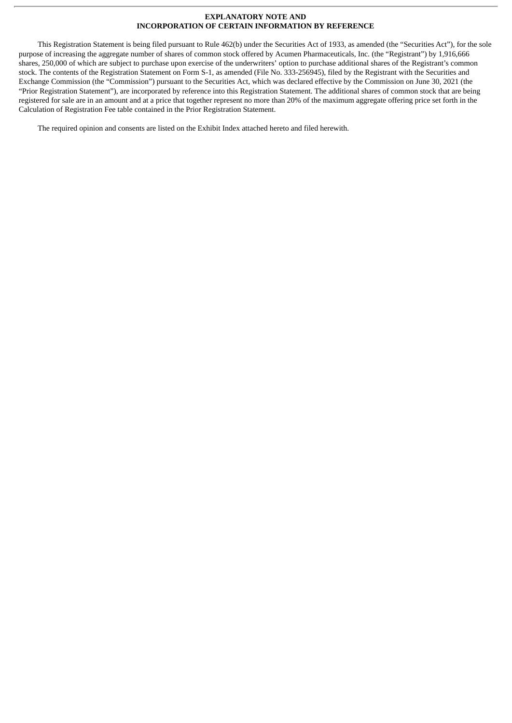#### **EXPLANATORY NOTE AND INCORPORATION OF CERTAIN INFORMATION BY REFERENCE**

This Registration Statement is being filed pursuant to Rule 462(b) under the Securities Act of 1933, as amended (the "Securities Act"), for the sole purpose of increasing the aggregate number of shares of common stock offered by Acumen Pharmaceuticals, Inc. (the "Registrant") by 1,916,666 shares, 250,000 of which are subject to purchase upon exercise of the underwriters' option to purchase additional shares of the Registrant's common stock. The contents of the Registration Statement on Form S-1, as amended (File No. 333-256945), filed by the Registrant with the Securities and Exchange Commission (the "Commission") pursuant to the Securities Act, which was declared effective by the Commission on June 30, 2021 (the "Prior Registration Statement"), are incorporated by reference into this Registration Statement. The additional shares of common stock that are being registered for sale are in an amount and at a price that together represent no more than 20% of the maximum aggregate offering price set forth in the Calculation of Registration Fee table contained in the Prior Registration Statement.

The required opinion and consents are listed on the Exhibit Index attached hereto and filed herewith.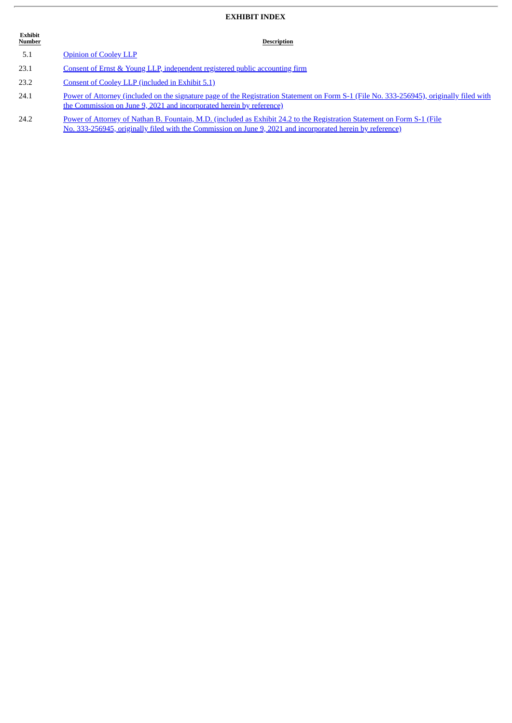## **EXHIBIT INDEX**

|      | Exhibit<br>Number | <b>Description</b>                                                                                                                                                                                                                    |
|------|-------------------|---------------------------------------------------------------------------------------------------------------------------------------------------------------------------------------------------------------------------------------|
| 5.1  |                   | <b>Opinion of Cooley LLP</b>                                                                                                                                                                                                          |
| 23.1 |                   | Consent of Ernst & Young LLP, independent registered public accounting firm                                                                                                                                                           |
| 23.2 |                   | Consent of Cooley LLP (included in Exhibit 5.1)                                                                                                                                                                                       |
| 24.1 |                   | Power of Attorney (included on the signature page of the Registration Statement on Form S-1 (File No. 333-256945), originally filed with<br>the Commission on June 9, 2021 and incorporated herein by reference)                      |
| 24.2 |                   | Power of Attorney of Nathan B. Fountain, M.D. (included as Exhibit 24.2 to the Registration Statement on Form S-1 (File<br>No. 333-256945, originally filed with the Commission on June 9, 2021 and incorporated herein by reference) |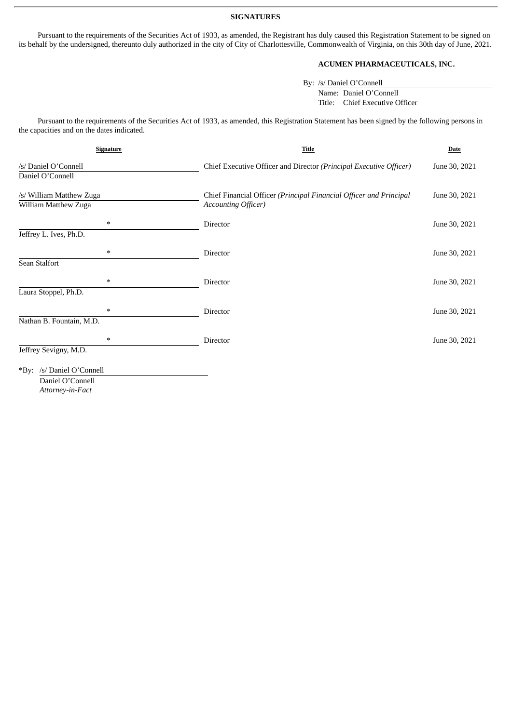## **SIGNATURES**

Pursuant to the requirements of the Securities Act of 1933, as amended, the Registrant has duly caused this Registration Statement to be signed on its behalf by the undersigned, thereunto duly authorized in the city of City of Charlottesville, Commonwealth of Virginia, on this 30th day of June, 2021.

## **ACUMEN PHARMACEUTICALS, INC.**

By: /s/ Daniel O'Connell

Name: Daniel O'Connell Title: Chief Executive Officer

Pursuant to the requirements of the Securities Act of 1933, as amended, this Registration Statement has been signed by the following persons in the capacities and on the dates indicated.

| Signature                                                               | Title                                                                                            | <b>Date</b>   |
|-------------------------------------------------------------------------|--------------------------------------------------------------------------------------------------|---------------|
| /s/ Daniel O'Connell<br>Daniel O'Connell                                | Chief Executive Officer and Director (Principal Executive Officer)                               | June 30, 2021 |
| /s/ William Matthew Zuga<br>William Matthew Zuga                        | Chief Financial Officer (Principal Financial Officer and Principal<br><b>Accounting Officer)</b> | June 30, 2021 |
| $\ast$<br>Jeffrey L. Ives, Ph.D.                                        | Director                                                                                         | June 30, 2021 |
| $\ast$<br>Sean Stalfort                                                 | Director                                                                                         | June 30, 2021 |
| $\ast$<br>Laura Stoppel, Ph.D.                                          | Director                                                                                         | June 30, 2021 |
| $\ast$<br>Nathan B. Fountain, M.D.                                      | Director                                                                                         | June 30, 2021 |
| $\ast$<br>Jeffrey Sevigny, M.D.                                         | Director                                                                                         | June 30, 2021 |
| /s/ Daniel O'Connell<br>$*$ By:<br>Daniel O'Connell<br>Attorney-in-Fact |                                                                                                  |               |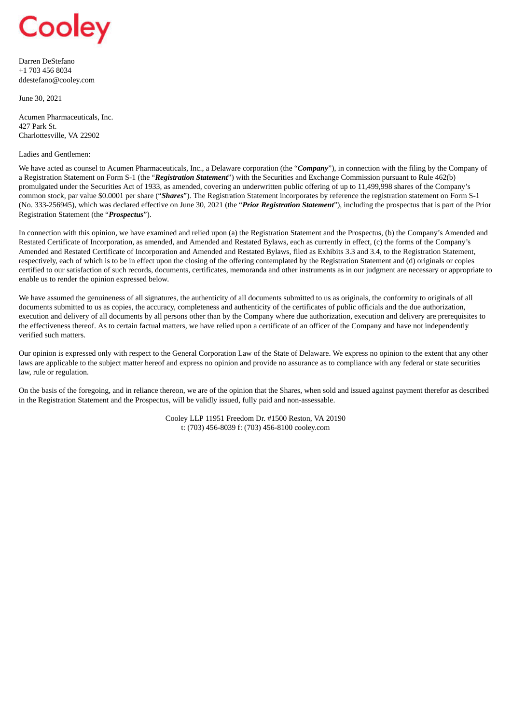<span id="page-5-0"></span>

Darren DeStefano +1 703 456 8034 ddestefano@cooley.com

June 30, 2021

Acumen Pharmaceuticals, Inc. 427 Park St. Charlottesville, VA 22902

#### Ladies and Gentlemen:

We have acted as counsel to Acumen Pharmaceuticals, Inc., a Delaware corporation (the "*Company*"), in connection with the filing by the Company of a Registration Statement on Form S-1 (the "*Registration Statement*") with the Securities and Exchange Commission pursuant to Rule 462(b) promulgated under the Securities Act of 1933, as amended, covering an underwritten public offering of up to 11,499,998 shares of the Company's common stock, par value \$0.0001 per share ("*Shares*"). The Registration Statement incorporates by reference the registration statement on Form S-1 (No. 333-256945), which was declared effective on June 30, 2021 (the "*Prior Registration Statement*"), including the prospectus that is part of the Prior Registration Statement (the "*Prospectus*").

In connection with this opinion, we have examined and relied upon (a) the Registration Statement and the Prospectus, (b) the Company's Amended and Restated Certificate of Incorporation, as amended, and Amended and Restated Bylaws, each as currently in effect, (c) the forms of the Company's Amended and Restated Certificate of Incorporation and Amended and Restated Bylaws, filed as Exhibits 3.3 and 3.4, to the Registration Statement, respectively, each of which is to be in effect upon the closing of the offering contemplated by the Registration Statement and (d) originals or copies certified to our satisfaction of such records, documents, certificates, memoranda and other instruments as in our judgment are necessary or appropriate to enable us to render the opinion expressed below.

We have assumed the genuineness of all signatures, the authenticity of all documents submitted to us as originals, the conformity to originals of all documents submitted to us as copies, the accuracy, completeness and authenticity of the certificates of public officials and the due authorization, execution and delivery of all documents by all persons other than by the Company where due authorization, execution and delivery are prerequisites to the effectiveness thereof. As to certain factual matters, we have relied upon a certificate of an officer of the Company and have not independently verified such matters.

Our opinion is expressed only with respect to the General Corporation Law of the State of Delaware. We express no opinion to the extent that any other laws are applicable to the subject matter hereof and express no opinion and provide no assurance as to compliance with any federal or state securities law, rule or regulation.

On the basis of the foregoing, and in reliance thereon, we are of the opinion that the Shares, when sold and issued against payment therefor as described in the Registration Statement and the Prospectus, will be validly issued, fully paid and non-assessable.

> Cooley LLP 11951 Freedom Dr. #1500 Reston, VA 20190 t: (703) 456-8039 f: (703) 456-8100 cooley.com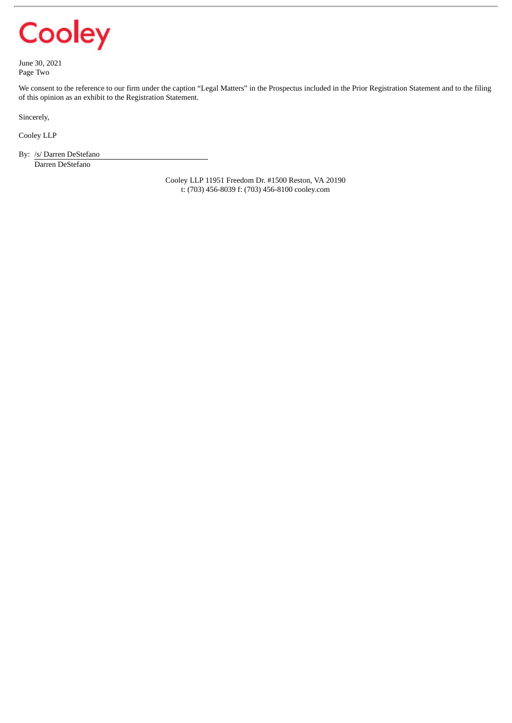

June 30, 2021 Page Two

We consent to the reference to our firm under the caption "Legal Matters" in the Prospectus included in the Prior Registration Statement and to the filing of this opinion as an exhibit to the Registration Statement.

Sincerely,

Cooley LLP

By: /s/ Darren DeStefano

Darren DeStefano

Cooley LLP 11951 Freedom Dr. #1500 Reston, VA 20190 t: (703) 456-8039 f: (703) 456-8100 cooley.com